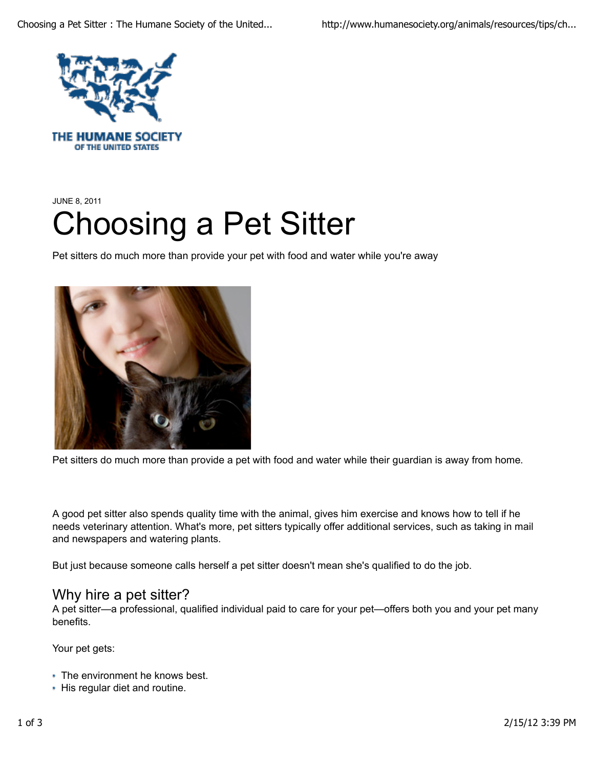

THE HUMANE SOCIETY OF THE UNITED STATES

# JUNE 8, 2011 Choosing a Pet Sitter

Pet sitters do much more than provide your pet with food and water while you're away



Pet sitters do much more than provide a pet with food and water while their guardian is away from home.

A good pet sitter also spends quality time with the animal, gives him exercise and knows how to tell if he needs veterinary attention. What's more, pet sitters typically offer additional services, such as taking in mail and newspapers and watering plants.

But just because someone calls herself a pet sitter doesn't mean she's qualified to do the job.

### Why hire a pet sitter?

A pet sitter—a professional, qualified individual paid to care for your pet—offers both you and your pet many benefits.

Your pet gets:

- **The environment he knows best.**
- His regular diet and routine.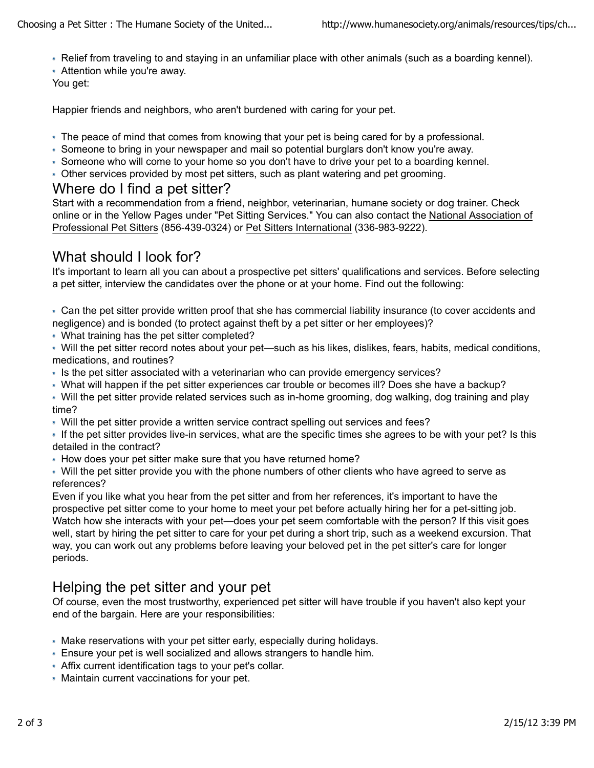- Relief from traveling to and staying in an unfamiliar place with other animals (such as a boarding kennel).
- Attention while you're away.

You get:

Happier friends and neighbors, who aren't burdened with caring for your pet.

- The peace of mind that comes from knowing that your pet is being cared for by a professional.
- Someone to bring in your newspaper and mail so potential burglars don't know you're away.
- Someone who will come to your home so you don't have to drive your pet to a boarding kennel.
- Other services provided by most pet sitters, such as plant watering and pet grooming.

#### Where do I find a pet sitter?

Start with a recommendation from a friend, neighbor, veterinarian, humane society or dog trainer. Check online or in the Yellow Pages under "Pet Sitting Services." You can also contact the National Association of Professional Pet Sitters (856-439-0324) or Pet Sitters International (336-983-9222).

## What should I look for?

It's important to learn all you can about a prospective pet sitters' qualifications and services. Before selecting a pet sitter, interview the candidates over the phone or at your home. Find out the following:

Can the pet sitter provide written proof that she has commercial liability insurance (to cover accidents and negligence) and is bonded (to protect against theft by a pet sitter or her employees)?

What training has the pet sitter completed?

Will the pet sitter record notes about your pet—such as his likes, dislikes, fears, habits, medical conditions, medications, and routines?

- Is the pet sitter associated with a veterinarian who can provide emergency services?
- What will happen if the pet sitter experiences car trouble or becomes ill? Does she have a backup?
- Will the pet sitter provide related services such as in-home grooming, dog walking, dog training and play time?
- Will the pet sitter provide a written service contract spelling out services and fees?

If the pet sitter provides live-in services, what are the specific times she agrees to be with your pet? Is this detailed in the contract?

How does your pet sitter make sure that you have returned home?

Will the pet sitter provide you with the phone numbers of other clients who have agreed to serve as references?

Even if you like what you hear from the pet sitter and from her references, it's important to have the prospective pet sitter come to your home to meet your pet before actually hiring her for a pet-sitting job. Watch how she interacts with your pet—does your pet seem comfortable with the person? If this visit goes well, start by hiring the pet sitter to care for your pet during a short trip, such as a weekend excursion. That way, you can work out any problems before leaving your beloved pet in the pet sitter's care for longer periods.

## Helping the pet sitter and your pet

Of course, even the most trustworthy, experienced pet sitter will have trouble if you haven't also kept your end of the bargain. Here are your responsibilities:

- Make reservations with your pet sitter early, especially during holidays.
- Ensure your pet is well socialized and allows strangers to handle him.
- Affix current identification tags to your pet's collar.
- Maintain current vaccinations for your pet.